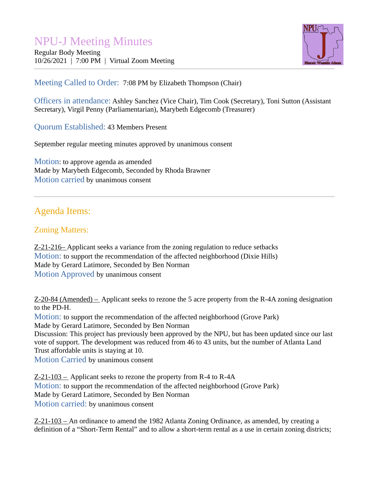# NPU-J Meeting Minutes

Regular Body Meeting 10/26/2021 | 7:00 PM | Virtual Zoom Meeting



### Meeting Called to Order: 7:08 PM by Elizabeth Thompson (Chair)

Officers in attendance: Ashley Sanchez (Vice Chair), Tim Cook (Secretary), Toni Sutton (Assistant Secretary), Virgil Penny (Parliamentarian), Marybeth Edgecomb (Treasurer)

Quorum Established: 43 Members Present

September regular meeting minutes approved by unanimous consent

Motion: to approve agenda as amended Made by Marybeth Edgecomb, Seconded by Rhoda Brawner Motion carried by unanimous consent

## Agenda Items:

#### Zoning Matters:

Z-21-216 – Applicant seeks a variance from the zoning regulation to reduce setbacks Motion: to support the recommendation of the affected neighborhood (Dixie Hills) Made by Gerard Latimore, Seconded by Ben Norman Motion Approved by unanimous consent

Z-20-84 (Amended) – Applicant seeks to rezone the 5 acre property from the R-4A zoning designation to the PD-H.

Motion: to support the recommendation of the affected neighborhood (Grove Park) Made by Gerard Latimore, Seconded by Ben Norman

Discussion: This project has previously been approved by the NPU, but has been updated since our last vote of support. The development was reduced from 46 to 43 units, but the number of Atlanta Land Trust affordable units is staying at 10.

Motion Carried by unanimous consent

Z-21-103 – Applicant seeks to rezone the property from R-4 to R-4A Motion: to support the recommendation of the affected neighborhood (Grove Park) Made by Gerard Latimore, Seconded by Ben Norman Motion carried: by unanimous consent

Z-21-103 – An ordinance to amend the 1982 Atlanta Zoning Ordinance, as amended, by creating a definition of a "Short-Term Rental" and to allow a short-term rental as a use in certain zoning districts;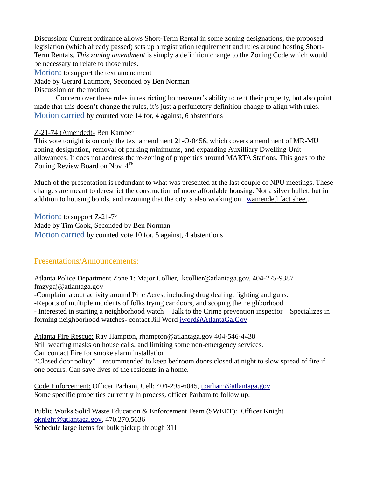Discussion: Current ordinance allows Short-Term Rental in some zoning designations, the proposed legislation (which already passed) sets up a registration requirement and rules around hosting Short-Term Rentals. *This zoning amendment* is simply a definition change to the Zoning Code which would be necessary to relate to those rules.

Motion: to support the text amendment

Made by Gerard Latimore, Seconded by Ben Norman

Discussion on the motion:

Concern over these rules in restricting homeowner's ability to rent their property, but also point made that this doesn't change the rules, it's just a perfunctory definition change to align with rules. Motion carried by counted vote 14 for, 4 against, 6 abstentions

#### Z-21-74 (Amended)- Ben Kamber

This vote tonight is on only the text amendment 21-O-0456, which covers amendment of MR-MU zoning designation, removal of parking minimums, and expanding Auxilliary Dwelling Unit allowances. It does not address the re-zoning of properties around MARTA Stations. This goes to the Zoning Review Board on Nov.  $4^{Th}$ 

Much of the presentation is redundant to what was presented at the last couple of NPU meetings. These changes are meant to derestrict the construction of more affordable housing. Not a silver bullet, but in addition to housing bonds, and rezoning that the city is also working on. wamended fact sheet.

Motion: to support Z-21-74 Made by Tim Cook, Seconded by Ben Norman Motion carried by counted vote 10 for, 5 against, 4 abstentions

#### Presentations/Announcements:

Atlanta Police Department Zone 1: Major Collier, kcollier@atlantaga.gov, 404-275-9387 fmzygaj@atlantaga.gov -Complaint about activity around Pine Acres, including drug dealing, fighting and guns. -Reports of multiple incidents of folks trying car doors, and scoping the neighborhood - Interested in starting a neighborhood watch – Talk to the Crime prevention inspector – Specializes in forming neighborhood watches- contact Jill Word [jword@AtlantaGa.Gov](mailto:jword@AtlantaGa.Gov)

Atlanta Fire Rescue: Ray Hampton, rhampton@atlantaga.gov 404-546-4438 Still wearing masks on house calls, and limiting some non-emergency services. Can contact Fire for smoke alarm installation "Closed door policy" – recommended to keep bedroom doors closed at night to slow spread of fire if one occurs. Can save lives of the residents in a home.

Code Enforcement: Officer Parham, Cell: 404-295-6045, [tparham@atlantaga.gov](mailto:tparham@atlantaga.gov) Some specific properties currently in process, officer Parham to follow up.

Public Works Solid Waste Education & Enforcement Team (SWEET): Officer Knight [oknight@atlantaga.gov,](mailto:oknight@atlantaga.gov) 470.270.5636 Schedule large items for bulk pickup through 311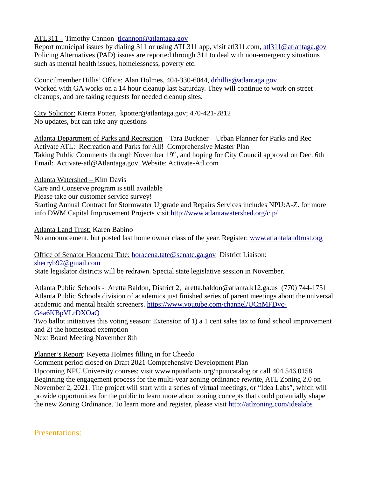ATL311 – Timothy Cannon [tlcannon@atlantaga.gov](mailto:tlcannon@atlantaga.gov)

Report municipal issues by dialing 311 or using ATL311 app, visit atl311.com, [atl311@atlantaga.gov](mailto:atl311@atlantaga.gov) Policing Alternatives (PAD) issues are reported through 311 to deal with non-emergency situations such as mental health issues, homelessness, poverty etc.

Councilmember Hillis' Office: Alan Holmes, 404-330-6044, drhillis@atlantaga.gov Worked with GA works on a 14 hour cleanup last Saturday. They will continue to work on street cleanups, and are taking requests for needed cleanup sites.

City Solicitor: Kierra Potter, kpotter@atlantaga.gov; 470-421-2812 No updates, but can take any questions

Atlanta Department of Parks and Recreation – Tara Buckner – Urban Planner for Parks and Rec Activate ATL: Recreation and Parks for All! Comprehensive Master Plan Taking Public Comments through November 19<sup>th</sup>, and hoping for City Council approval on Dec. 6th Email: Activate-atl@Atlantaga.gov Website: Activate-Atl.com

Atlanta Watershed – Kim Davis Care and Conserve program is still available

Please take our customer service survey!

Starting Annual Contract for Stormwater Upgrade and Repairs Services includes NPU:A-Z. for more info DWM Capital Improvement Projects visit<http://www.atlantawatershed.org/cip/>

Atlanta Land Trust: Karen Babino

No announcement, but posted last home owner class of the year. Register: www.atlantalandtrust.org

Office of Senator Horacena Tate: [horacena.tate@senate.ga.gov](mailto:horacena.tate@senate.ga.gov) District Liaison: [sherryb92@gmail.com](mailto:sherryb92@gmail.com)

State legislator districts will be redrawn. Special state legislative session in November.

Atlanta Public Schools - Aretta Baldon, District 2, aretta.baldon@atlanta.k12.ga.us (770) 744-1751 Atlanta Public Schools division of academics just finished series of parent meetings about the universal academic and mental health screeners. [https://www.youtube.com/channel/UCnMFDyc-](https://www.youtube.com/channel/UCnMFDyc-G4a6KBpVLrDXOaQ)[G4a6KBpVLrDXOaQ](https://www.youtube.com/channel/UCnMFDyc-G4a6KBpVLrDXOaQ)

Two ballot initiatives this voting season: Extension of 1) a 1 cent sales tax to fund school improvement and 2) the homestead exemption

Next Board Meeting November 8th

Planner's Report: Keyetta Holmes filling in for Cheedo

Comment period closed on Draft 2021 Comprehensive Development Plan

Upcoming NPU University courses: visit www.npuatlanta.org/npuucatalog or call 404.546.0158. Beginning the engagement process for the multi-year zoning ordinance rewrite, ATL Zoning 2.0 on November 2, 2021. The project will start with a series of virtual meetings, or "Idea Labs", which will provide opportunities for the public to learn more about zoning concepts that could potentially shape the new Zoning Ordinance. To learn more and register, please visit<http://atlzoning.com/idealabs>

Presentations: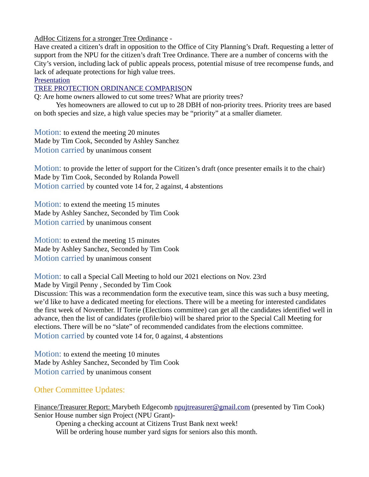AdHoc Citizens for a stronger Tree Ordinance -

Have created a citizen's draft in opposition to the Office of City Planning's Draft. Requesting a letter of support from the NPU for the citizen's draft Tree Ordinance. There are a number of concerns with the City's version, including lack of public appeals process, potential misuse of tree recompense funds, and lack of adequate protections for high value trees.

**[Presentation](https://1drv.ms/b/s!Ag-fa1etthGAhcVNa-9ikYSOi45BnQ?e=t5PXlx)** 

[TREE PROTECTION ORDINANCE COMPARISO](https://1drv.ms/b/s!Ag-fa1etthGAhcUhjbMlouS1YbpEfA?e=QtTcfG)N

Q: Are home owners allowed to cut some trees? What are priority trees?

Yes homeowners are allowed to cut up to 28 DBH of non-priority trees. Priority trees are based on both species and size, a high value species may be "priority" at a smaller diameter.

Motion: to extend the meeting 20 minutes Made by Tim Cook, Seconded by Ashley Sanchez Motion carried by unanimous consent

Motion: to provide the letter of support for the Citizen's draft (once presenter emails it to the chair) Made by Tim Cook, Seconded by Rolanda Powell Motion carried by counted vote 14 for, 2 against, 4 abstentions

Motion: to extend the meeting 15 minutes Made by Ashley Sanchez, Seconded by Tim Cook Motion carried by unanimous consent

Motion: to extend the meeting 15 minutes Made by Ashley Sanchez, Seconded by Tim Cook Motion carried by unanimous consent

Motion: to call a Special Call Meeting to hold our 2021 elections on Nov. 23rd Made by Virgil Penny , Seconded by Tim Cook Discussion: This was a recommendation form the executive team, since this was such a busy meeting, we'd like to have a dedicated meeting for elections. There will be a meeting for interested candidates the first week of November. If Torrie (Elections committee) can get all the candidates identified well in advance, then the list of candidates (profile/bio) will be shared prior to the Special Call Meeting for elections. There will be no "slate" of recommended candidates from the elections committee. Motion carried by counted vote 14 for, 0 against, 4 abstentions

Motion: to extend the meeting 10 minutes Made by Ashley Sanchez, Seconded by Tim Cook Motion carried by unanimous consent

#### Other Committee Updates:

Finance/Treasurer Report: Marybeth Edgecomb [npujtreasurer@gmail.com](mailto:npujtreasurer@gmail.com) (presented by Tim Cook) Senior House number sign Project (NPU Grant)-

Opening a checking account at Citizens Trust Bank next week! Will be ordering house number yard signs for seniors also this month.